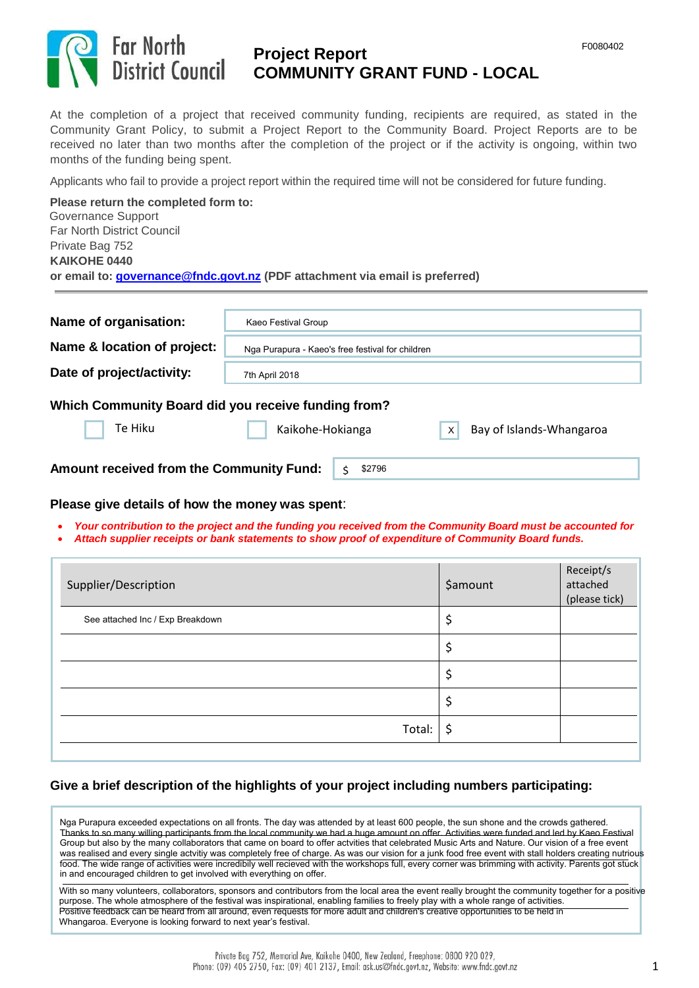

# **Project Report COMMUNITY GRANT FUND - LOCAL**

At the completion of a project that received community funding, recipients are required, as stated in the Community Grant Policy, to submit a Project Report to the Community Board. Project Reports are to be received no later than two months after the completion of the project or if the activity is ongoing, within two months of the funding being spent.

Applicants who fail to provide a project report within the required time will not be considered for future funding.

**Please return the completed form to:** Governance Support Far North District Council Private Bag 752 **KAIKOHE 0440 or email to[: governance@fndc.govt.nz](mailto:governance@fndc.govt.nz) (PDF attachment via email is preferred)** 

| Name of organisation:                                                                                                      | Kaeo Festival Group                              |  |  |  |  |
|----------------------------------------------------------------------------------------------------------------------------|--------------------------------------------------|--|--|--|--|
| Name & location of project:                                                                                                | Nga Purapura - Kaeo's free festival for children |  |  |  |  |
| Date of project/activity:                                                                                                  | 7th April 2018                                   |  |  |  |  |
| Which Community Board did you receive funding from?<br>Te Hiku<br>Kaikohe-Hokianga<br>Bay of Islands-Whangaroa<br>$\times$ |                                                  |  |  |  |  |
| <b>Amount received from the Community Fund:</b>                                                                            | \$2796                                           |  |  |  |  |

#### **Please give details of how the money was spent**:

- *Your contribution to the project and the funding you received from the Community Board must be accounted for*
- *Attach supplier receipts or bank statements to show proof of expenditure of Community Board funds.*

| Supplier/Description             | <b>\$amount</b> | Receipt/s<br>attached<br>(please tick) |
|----------------------------------|-----------------|----------------------------------------|
| See attached Inc / Exp Breakdown | \$              |                                        |
|                                  | \$              |                                        |
|                                  |                 |                                        |
|                                  | \$              |                                        |
| Total:                           | \$              |                                        |
|                                  |                 |                                        |

## **Give a brief description of the highlights of your project including numbers participating:**

Nga Purapura exceeded expectations on all fronts. The day was attended by at least 600 people, the sun shone and the crowds gathered. Thanks to so many willing participants from the local community we had a huge amount on offer. Activities were funded and led by Kaeo Festival Group but also by the many collaborators that came on board to offer actvities that celebrated Music Arts and Nature. Our vision of a free event was realised and every single actvitiy was completely free of charge. As was our vision for a junk food free event with stall holders creating nutrious food. The wide range of activities were incredibily well recieved with the workshops full, every corner was brimming with activity. Parents got stuck in and encouraged children to get involved with everything on offer.

With so many volunteers, collaborators, sponsors and contributors from the local area the event really brought the community together for a positive purpose. The whole atmosphere of the festival was inspirational, enabling families to freely play with a whole range of activities. Positive feedback can be heard from all around, even requests for more adult and children's creative opportunities to be held in Whangaroa. Everyone is looking forward to next year's festival.